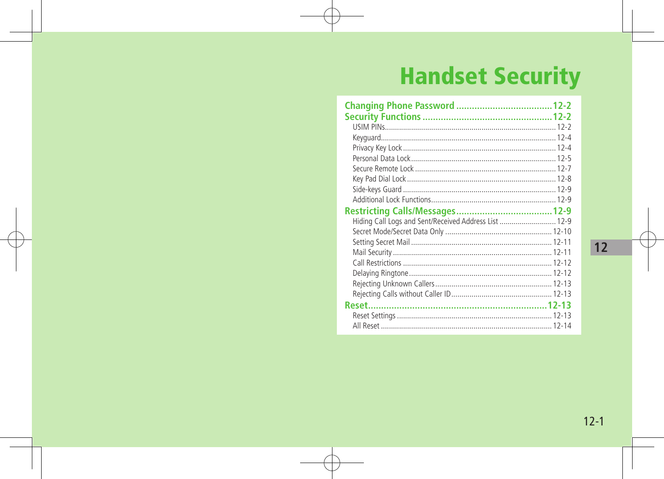# **Handset Security**

| Hiding Call Logs and Sent/Received Address List  12-9 |  |
|-------------------------------------------------------|--|
|                                                       |  |
|                                                       |  |
|                                                       |  |
|                                                       |  |
|                                                       |  |
|                                                       |  |
|                                                       |  |
|                                                       |  |
|                                                       |  |
|                                                       |  |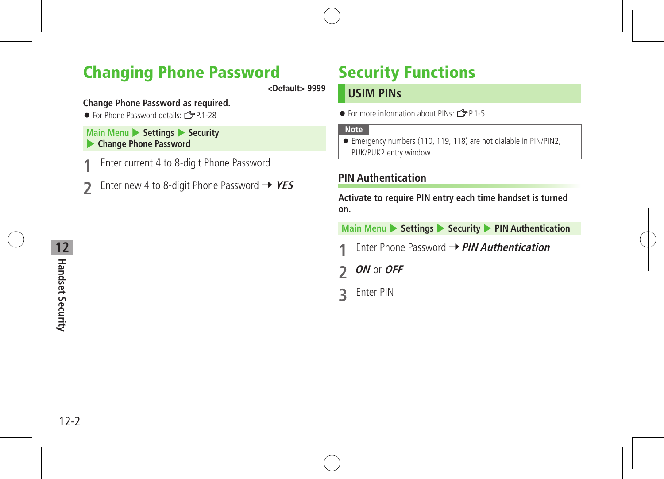# Changing Phone Password

**<Default> 9999**

#### **Change Phone Password as required.**

 $\bullet$  For Phone Password details:  $\angle$ PP 1-28

#### **Main Menu > Settings > Security** 4 **Change Phone Password**

- Enter current 4 to 8-digit Phone Password
- Enter new 4 to 8-digit Phone Password  $\rightarrow$  YES

# Security Functions

### **USIM PINs**

 $\bullet$  For more information about PINs:  $\circ$  P.1-5

#### **Note**

 Emergency numbers (110, 119, 118) are not dialable in PIN/PIN2, PUK/PUK2 entry window.

### **PIN Authentication**

**Activate to require PIN entry each time handset is turned on.**

**Main Menu > Settings > Security > PIN Authentication** 

- **Enter Phone Password → PIN Authentication**
- **2 ON** or **OFF**
- **3** Enter PIN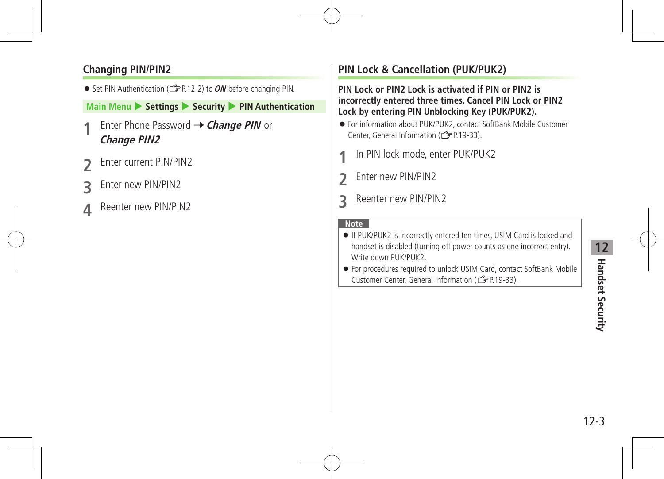### **Changing PIN/PIN2**

● Set PIN Authentication (<del>1</del> P.12-2) to **ON** before changing PIN.

#### **Main Menu > Settings > Security > PIN Authentication**

- **Enter Phone Password → Change PIN** or **Change PIN2**
- *<u>Enter current PIN/PIN2</u>*
- **Enter new PIN/PIN2**
- **Reenter new PIN/PIN2**

### **PIN Lock & Cancellation (PUK/PUK2)**

**PIN Lock or PIN2 Lock is activated if PIN or PIN2 is incorrectly entered three times. Cancel PIN Lock or PIN2 Lock by entering PIN Unblocking Key (PUK/PUK2).**

- For information about PUK/PUK2, contact SoftBank Mobile Customer Center, General Information (ZP.19-33).
- In PIN lock mode, enter PUK/PUK2
- **2** Enter new PIN/PIN2
- **3** Reenter new PIN/PIN2

- If PUK/PUK2 is incorrectly entered ten times, USIM Card is locked and handset is disabled (turning off power counts as one incorrect entry). Write down PUK/PUK2.
- For procedures required to unlock USIM Card, contact SoftBank Mobile Customer Center, General Information (ZP.19-33).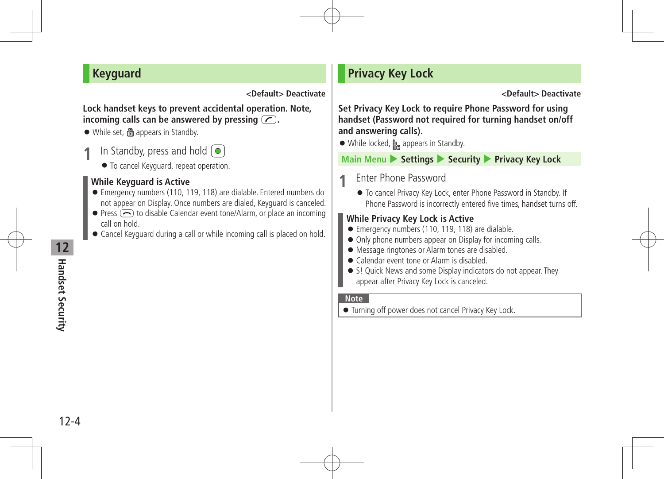### **Keyguard**

#### **<Default> Deactivate**

#### **Lock handset keys to prevent accidental operation. Note, incoming calls can be answered by pressing**  $\overline{C}$ **.**

- While set, **n**appears in Standby.
- In Standby, press and hold  $\odot$ 
	- $\bullet$  To cancel Keyguard, repeat operation.

### **While Keyguard is Active**

- Emergency numbers (110, 119, 118) are dialable. Entered numbers do not appear on Display. Once numbers are dialed, Keyguard is canceled.
- $\bullet$  Press  $\left(\overline{\bullet}\right)$  to disable Calendar event tone/Alarm, or place an incoming call on hold.
- Cancel Keyguard during a call or while incoming call is placed on hold.

## **Privacy Key Lock**

#### **<Default> Deactivate**

**Set Privacy Key Lock to require Phone Password for using handset (Password not required for turning handset on/off and answering calls).**

 $\bullet$  While locked,  $\bullet$  appears in Standby.

**Main Menu** 4 **Settings** 4 **Security** 4 **Privacy Key Lock**

### **1** Enter Phone Password

 To cancel Privacy Key Lock, enter Phone Password in Standby. If Phone Password is incorrectly entered five times, handset turns off.

### **While Privacy Key Lock is Active**

- Emergency numbers (110, 119, 118) are dialable.
- $\bullet$  Only phone numbers appear on Display for incoming calls.
- Message ringtones or Alarm tones are disabled.
- Calendar event tone or Alarm is disabled.
- S! Quick News and some Display indicators do not appear. They appear after Privacy Key Lock is canceled.

#### **Note**

Turning off power does not cancel Privacy Key Lock.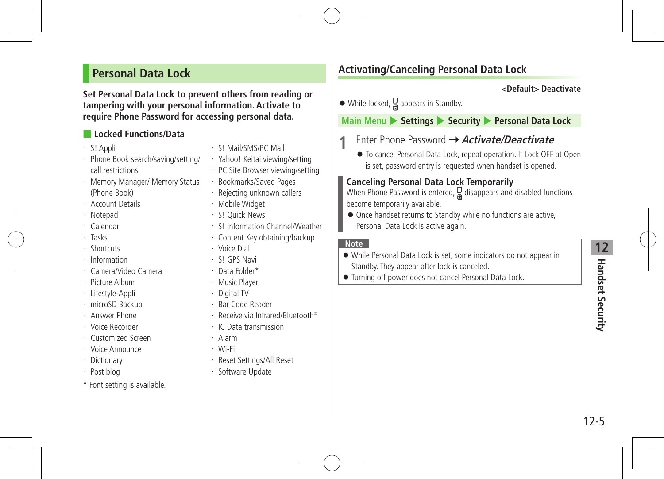### **Personal Data Lock**

**Set Personal Data Lock to prevent others from reading or tampering with your personal information. Activate to require Phone Password for accessing personal data.**

### ■ **Locked Functions/Data**

- ・ S! Appli
- ・ Phone Book search/saving/setting/ call restrictions
- ・ Memory Manager/ Memory Status (Phone Book)
- ・ Account Details
- ・ Notepad
- ・ Calendar
- ・ Tasks
- ・ Shortcuts
- ・ Information
- ・ Camera/Video Camera
- ・ Picture Album
- ・ Lifestyle-Appli
- ・ microSD Backup
- ・ Answer Phone
- ・ Voice Recorder
- ・ Customized Screen
- ・ Voice Announce
- ・ Dictionary
- ・ Post blog
- \* Font setting is available.
- ・ S! Mail/SMS/PC Mail
- ・ Yahoo! Keitai viewing/setting
- ・ PC Site Browser viewing/setting
- ・ Bookmarks/Saved Pages
- ・ Rejecting unknown callers
- ・ Mobile Widget
- ・ S! Quick News
- ・ S! Information Channel/Weather
- ・ Content Key obtaining/backup
- ・ Voice Dial
- ・ S! GPS Navi
- ・ Data Folder\*
- ・ Music Player
- ・ Digital TV
- ・ Bar Code Reader
- ・ Receive via Infrared/Bluetooth®
- ・ IC Data transmission
- ・ Alarm
- ・ Wi-Fi
- ・ Reset Settings/All Reset
- ・ Software Update

### **Activating/Canceling Personal Data Lock**

#### **<Default> Deactivate**

 $\bullet$  While locked,  $\Box$  appears in Standby.

**Main Menu** 4 **Settings** 4 **Security** 4 **Personal Data Lock**

- **Fnter Phone Password → Activate/Deactivate** 
	- To cancel Personal Data Lock, repeat operation. If Lock OFF at Open is set, password entry is requested when handset is opened.

#### **Canceling Personal Data Lock Temporarily**

When Phone Password is entered,  $\frac{D}{\omega}$  disappears and disabled functions become temporarily available.

 $\bullet$  Once handset returns to Standby while no functions are active, Personal Data Lock is active again.

- While Personal Data Lock is set, some indicators do not appear in Standby. They appear after lock is canceled.
- Turning off power does not cancel Personal Data Lock.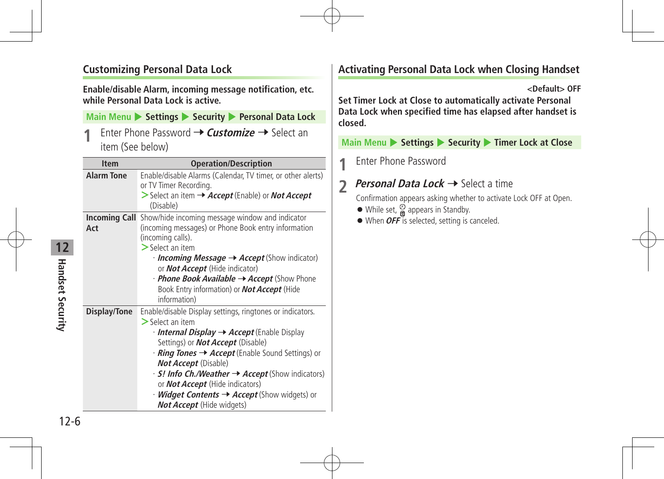### **Customizing Personal Data Lock**

**Enable/disable Alarm, incoming message notification, etc. while Personal Data Lock is active.**

#### **Main Menu** 4 **Settings** 4 **Security** 4 **Personal Data Lock**

**Enter Phone Password → Customize** → Select an item (See below)

| <b>Item</b>       | <b>Operation/Description</b>                                                                                                                                                                                                                                                                                                                                                                                                                                            |
|-------------------|-------------------------------------------------------------------------------------------------------------------------------------------------------------------------------------------------------------------------------------------------------------------------------------------------------------------------------------------------------------------------------------------------------------------------------------------------------------------------|
| <b>Alarm Tone</b> | Enable/disable Alarms (Calendar, TV timer, or other alerts)<br>or TV Timer Recording.<br>Select an item $\rightarrow$ Accept (Enable) or Not Accept<br>(Disable)                                                                                                                                                                                                                                                                                                        |
| Act               | <b>Incoming Call</b> Show/hide incoming message window and indicator<br>(incoming messages) or Phone Book entry information<br>(incoming calls).<br>$>$ Select an item<br>$\cdot$ Incoming Message $\rightarrow$ Accept (Show indicator)<br>or Not Accept (Hide indicator)<br>· <b>Phone Book Available → Accept</b> (Show Phone<br>Book Entry information) or <b>Not Accept</b> (Hide<br>information)                                                                  |
| Display/Tone      | Enable/disable Display settings, ringtones or indicators.<br>$\geq$ Select an item<br>· <b>Internal Display → Accept</b> (Enable Display<br>Settings) or <b>Not Accept</b> (Disable)<br>• <b>Ring Tones → Accept</b> (Enable Sound Settings) or<br><b>Not Accept</b> (Disable)<br>· S! Info Ch./Weather → Accept (Show indicators)<br>or <b>Not Accept</b> (Hide indicators)<br>· <b>Widget Contents → Accept</b> (Show widgets) or<br><b>Not Accept</b> (Hide widgets) |

### **Activating Personal Data Lock when Closing Handset**

**<Default> OFF**

**Set Timer Lock at Close to automatically activate Personal Data Lock when specified time has elapsed after handset is closed.**

**Main Menu ▶ Settings ▶ Security ▶ Timer Lock at Close** 

**1** Enter Phone Password

### **2 Personal Data Lock →** Select a time

Confirmation appears asking whether to activate Lock OFF at Open.

- $\bullet$  While set,  $\overset{\odot}{\bullet}$  appears in Standby.
- When *OFF* is selected, setting is canceled.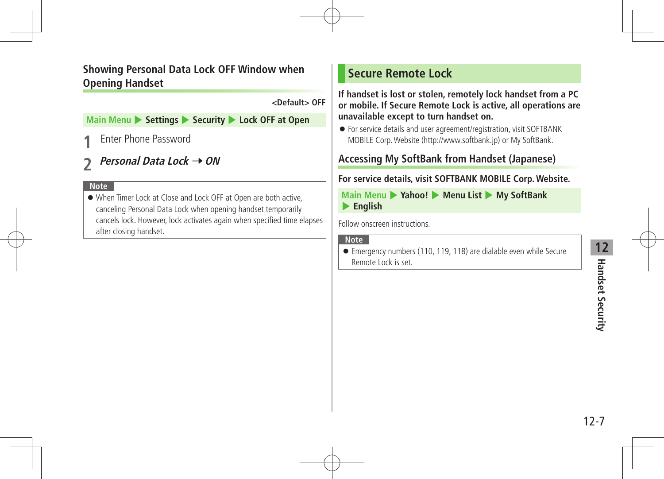### **Showing Personal Data Lock OFF Window when Opening Handset**

**<Default> OFF**

#### **Main Menu**  $\blacktriangleright$  **Settings**  $\blacktriangleright$  **Security**  $\blacktriangleright$  **Lock OFF at Open**

**Enter Phone Password** 

# *Personal Data Lock → ON*

#### **Note**

 When Timer Lock at Close and Lock OFF at Open are both active, canceling Personal Data Lock when opening handset temporarily cancels lock. However, lock activates again when specified time elapses after closing handset.

### **Secure Remote Lock**

**If handset is lost or stolen, remotely lock handset from a PC or mobile. If Secure Remote Lock is active, all operations are unavailable except to turn handset on.**

 For service details and user agreement/registration, visit SOFTBANK MOBILE Corp.Website (http://www.softbank.jp) or My SoftBank.

### **Accessing My SoftBank from Handset (Japanese)**

### **For service details, visit SOFTBANK MOBILE Corp. Website.**

**Main Menu** 4 **Yahoo!** 4 **Menu List** 4 **My SoftBank**  4 **English**

Follow onscreen instructions.

#### **Note**

 Emergency numbers (110, 119, 118) are dialable even while Secure Remote Lock is set.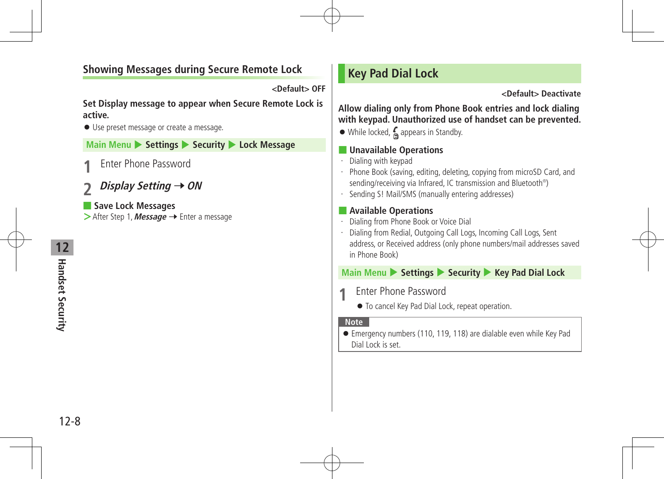### **Showing Messages during Secure Remote Lock**

**<Default> OFF**

**Set Display message to appear when Secure Remote Lock is active.**

Use preset message or create a message.

**Main Menu** 4 **Settings** 4 **Security** 4 **Lock Message**

**Enter Phone Password** 

### *Display Setting* **→ ON**

■ **Save Lock Messages >**After Step 1, **Message** → Enter a message **<Default> Deactivate**

**Allow dialing only from Phone Book entries and lock dialing with keypad. Unauthorized use of handset can be prevented.**

 $\bullet$  While locked,  $\bullet$  appears in Standby.

#### ■ **Unavailable Operations**

- ・ Dialing with keypad
- ・ Phone Book (saving, editing, deleting, copying from microSD Card, and sending/receiving via Infrared, IC transmission and Bluetooth® )
- ・ Sending S! Mail/SMS (manually entering addresses)

### ■ **Available Operations**

- ・ Dialing from Phone Book or Voice Dial
- ・ Dialing from Redial, Outgoing Call Logs, Incoming Call Logs, Sent address, or Received address (only phone numbers/mail addresses saved in Phone Book)

### **Main Menu** 4 **Settings** 4 **Security** 4 **Key Pad Dial Lock**

- **Enter Phone Password** 
	- $\bullet$  To cancel Key Pad Dial Lock, repeat operation.

#### **Note**

 Emergency numbers (110, 119, 118) are dialable even while Key Pad Dial Lock is set.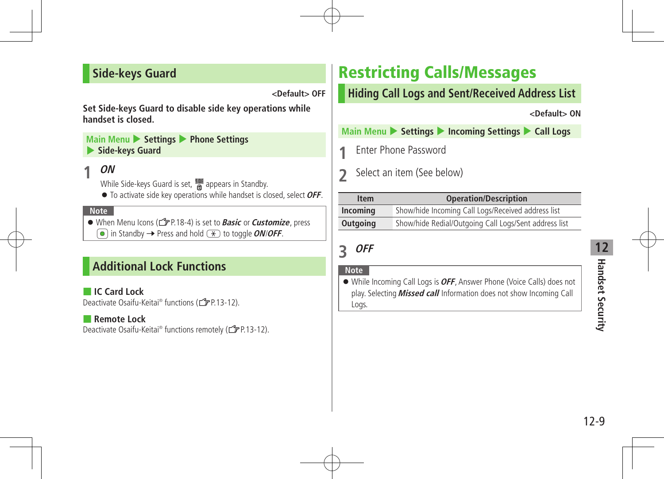### **Side-keys Guard**

**<Default> OFF**

**Set Side-keys Guard to disable side key operations while handset is closed.**

**Main Menu > Settings > Phone Settings** 4 **Side-keys Guard**

### **1 ON**

While Side-keys Guard is set,  $\frac{NDE}{60}$  appears in Standby.

● To activate side key operations while handset is closed, select **OFF**.

**Note**

● When Menu Icons ( $f \equiv P(18-4)$  is set to **Basic** or **Customize**, press  $\widehat{\bullet}$  in Standby  $\rightarrow$  Press and hold  $(\ast)$  to toggle *ON/OFF*.

### **Additional Lock Functions**

■ **IC Card Lock** Deactivate Osaifu-Keitai® functions (仁子P.13-12).

#### ■ **Remote Lock**

Deactivate Osaifu-Keitai® functions remotely (<a>Ca<br/>P.13-12).

# Restricting Calls/Messages

### **Hiding Call Logs and Sent/Received Address List**

**<Default> ON**

**Main Menu > Settings > Incoming Settings > Call Logs** 

**Fnter Phone Password** 

**2** Select an item (See below)

| <b>Item</b> | <b>Operation/Description</b>                          |
|-------------|-------------------------------------------------------|
| Incoming    | Show/hide Incoming Call Logs/Received address list    |
| Outgoing    | Show/hide Redial/Outgoing Call Logs/Sent address list |

**3 OFF**

#### **Note**

 While Incoming Call Logs is**OFF**, Answer Phone (Voice Calls) does not play. Selecting **Missed call** Information does not show Incoming Call Logs.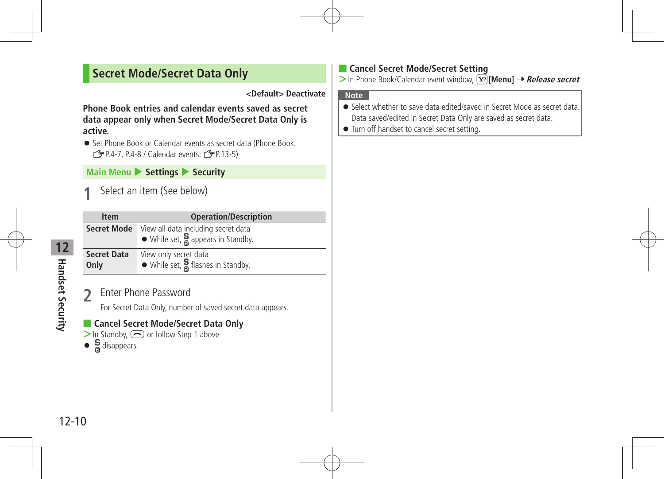### **Secret Mode/Secret Data Only**

#### **<Default> Deactivate**

**Phone Book entries and calendar events saved as secret data appear only when Secret Mode/Secret Data Only is active.**

● Set Phone Book or Calendar events as secret data (Phone Book:  $\sqrt{2}P.4-7. P.4-8$  / Calendar events:  $\sqrt{2}P.13-5$ )

#### **Main Menu**  $\triangleright$  Settings  $\triangleright$  Security

**Select an item (See below)** 

| <b>Item</b>                | <b>Operation/Description</b>                                                                  |
|----------------------------|-----------------------------------------------------------------------------------------------|
| <b>Secret Mode</b>         | View all data including secret data<br>$\bullet$ While set, $\frac{5}{6}$ appears in Standby. |
| <b>Secret Data</b><br>Only | View only secret data<br>$\bullet$ While set, $\frac{5}{9}$ flashes in Standby.               |

**2** Enter Phone Password

For Secret Data Only, number of saved secret data appears.

### ■ **Cancel Secret Mode/Secret Data Only**

- > In Standby,  $\bigodot$  or follow Step 1 above
- $\bullet$   $\frac{5}{9}$  disappears.

### ■ **Cancel Secret Mode/Secret Setting**

> In Phone Book/Calendar event window, **[x**] [Menu] → Release secret

- Select whether to save data edited/saved in Secret Mode as secret data. Data saved/edited in Secret Data Only are saved as secret data.
- $\bullet$  Turn off handset to cancel secret setting.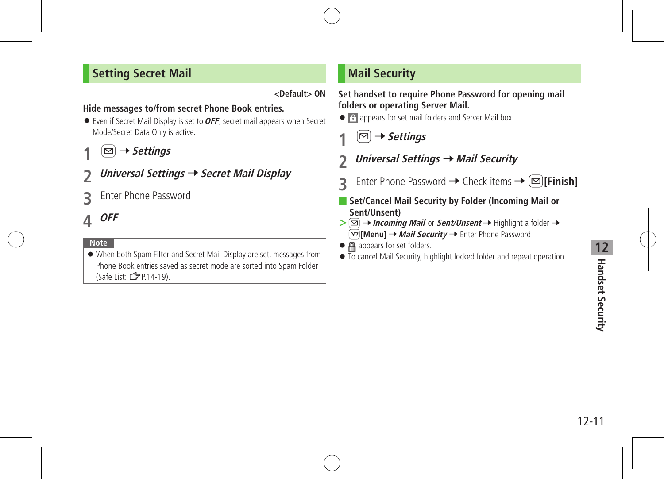### **Setting Secret Mail**

#### **<Default> ON**

#### **Hide messages to/from secret Phone Book entries.**

- Even if Secret Mail Display is set to**OFF**, secret mail appears when Secret Mode/Secret Data Only is active.
- **1** <sup>A</sup> <sup>7</sup>**Settings**
- **2 Universal Settings** <sup>7</sup>**Secret Mail Display**
- **3** Enter Phone Password
- **4 OFF**

#### **Note**

 When both Spam Filter and Secret Mail Display are set, messages from Phone Book entries saved as secret mode are sorted into Spam Folder (Safe List:  $\sqrt{2}P.14-19$ ).

### **Mail Security**

#### **Set handset to require Phone Password for opening mail folders or operating Server Mail.**

- **• A** appears for set mail folders and Server Mail box.
	- **1** <sup>A</sup> <sup>7</sup>**Settings**
- **2** *Universal Settings* → *Mail Security*
- **3** Enter Phone Password  $\rightarrow$  Check items  $\rightarrow \infty$  [Finish]
- Set/Cancel Mail Security by Folder (Incoming Mail or **Sent/Unsent)**
- $>$  $\boxed{\odot}$   $\rightarrow$  *Incoming Mail* or *Sent/Unsent*  $\rightarrow$  Highlight a folder  $\rightarrow$ **[Y][Menu] → Mail Security →** Enter Phone Password
- **A** appears for set folders.
- $\bullet$  To cancel Mail Security, highlight locked folder and repeat operation.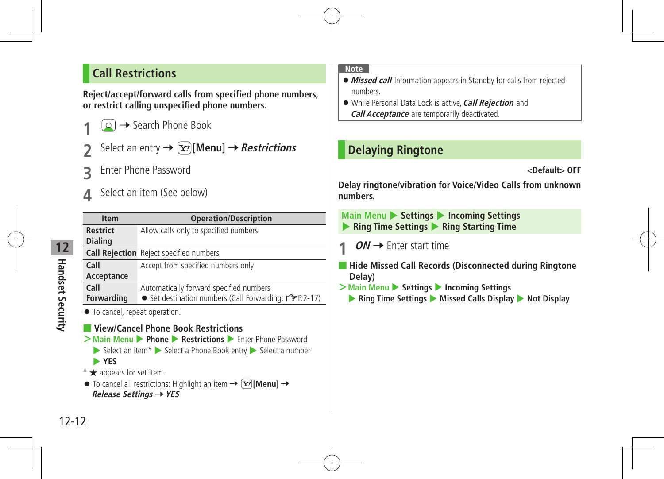### **Call Restrictions**

**Reject/accept/forward calls from specified phone numbers, or restrict calling unspecified phone numbers.**

**2** → Search Phone Book

Select an entry  $\rightarrow \boxed{\mathbf{Y}}$  [Menu]  $\rightarrow$  *Restrictions* 

- **3** Enter Phone Password
- Select an item (See below)

| <b>Item</b>                                                                           | <b>Operation/Description</b>                                                                                                                                                                                                 |
|---------------------------------------------------------------------------------------|------------------------------------------------------------------------------------------------------------------------------------------------------------------------------------------------------------------------------|
| <b>Restrict</b>                                                                       | Allow calls only to specified numbers                                                                                                                                                                                        |
| <b>Dialing</b>                                                                        |                                                                                                                                                                                                                              |
|                                                                                       | <b>Call Rejection</b> Reject specified numbers                                                                                                                                                                               |
| Call                                                                                  | Accept from specified numbers only                                                                                                                                                                                           |
| Acceptance                                                                            |                                                                                                                                                                                                                              |
| Call                                                                                  | Automatically forward specified numbers                                                                                                                                                                                      |
| <b>Forwarding</b>                                                                     | ● Set destination numbers (Call Forwarding: <del>『</del> P.2-17)                                                                                                                                                             |
| • To cancel, repeat operation.                                                        | <b>View/Cancel Phone Book Restrictions</b><br>> Main Menu > Phone > Restrictions > Enter Phone Password                                                                                                                      |
| <b>YES</b><br>$*$ $\star$ appears for set item.<br>Release Settings $\rightarrow$ YES | $\triangleright$ Select an item $*$ $\triangleright$ Select a Phone Book entry $\triangleright$ Select a number<br>$\bullet$ To cancel all restrictions: Highlight an item $\rightarrow$ $\mathbf{[x]}$ [Menu] $\rightarrow$ |

#### **Note**

- **Missed call** Information appears in Standby for calls from rejected numbers.
- While Personal Data Lock is active,**Call Rejection** and **Call Acceptance** are temporarily deactivated.

### **Delaying Ringtone**

```
<Default> OFF
```
**Delay ringtone/vibration for Voice/Video Calls from unknown numbers.**

**Main Menu > Settings > Incoming Settings** 4 **Ring Time Settings** 4 **Ring Starting Time**

- $ON \rightarrow$  Enter start time
- **Hide Missed Call Records (Disconnected during Ringtone Delay)**
- **>Main Menu** ▶ Settings ▶ Incoming Settings
	- 4 **Ring Time Settings** 4 **Missed Calls Display** 4 **Not Display**

**12**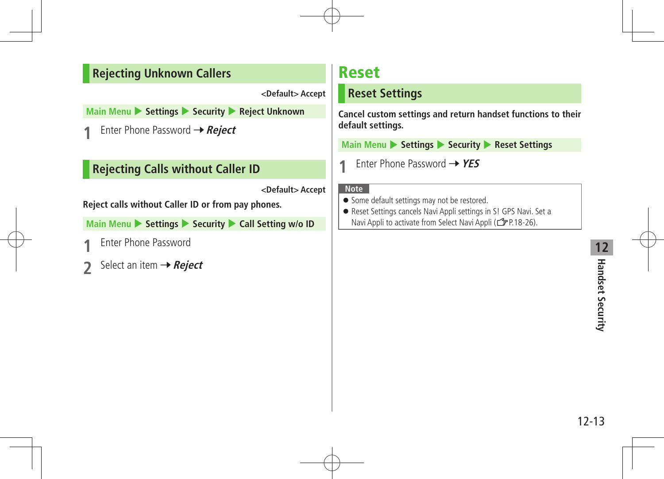### **Rejecting Unknown Callers**

**<Default> Accept**

**Main Menu** 4 **Settings** 4 **Security** 4 **Reject Unknown**

**Enter Phone Password → Reject** 

### **Rejecting Calls without Caller ID**

**<Default> Accept**

**Reject calls without Caller ID or from pay phones.**

**Main Menu > Settings > Security > Call Setting w/o ID** 

- **Enter Phone Password**
- **2** Select an item → Reject

# Reset

### **Reset Settings**

**Cancel custom settings and return handset functions to their default settings.**

**Main Menu** 4 **Settings** 4 **Security** 4 **Reset Settings**

**1** Enter Phone Password  $\rightarrow$  YES

- **•** Some default settings may not be restored.
- Reset Settings cancels Navi Appli settings in S! GPS Navi. Set a Navi Appli to activate from Select Navi Appli ( $\sqrt{2}P.18-26$ ).